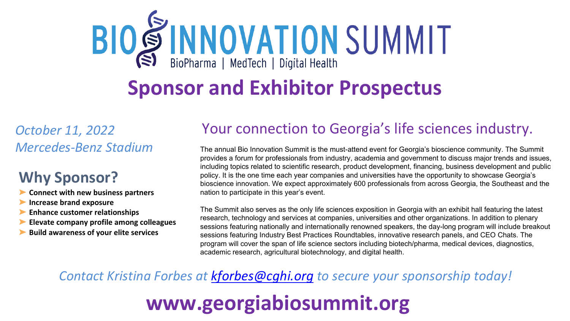# **BIO SINNOVATION SUMMIT**

## **Sponsor and Exhibitor Prospectus**

*October 11, 2022 Mercedes-Benz Stadium*

### **Why Sponsor?**

- ➤ **Connect with new business partners**
- ➤ **Increase brand exposure**
- ➤ **Enhance customer relationships**
- ➤ **Elevate company profile among colleagues**
- ➤ **Build awareness of your elite services**

### Your connection to Georgia's life sciences industry.

The annual Bio Innovation Summit is the must-attend event for Georgia's bioscience community. The Summit provides a forum for professionals from industry, academia and government to discuss major trends and issues, including topics related to scientific research, product development, financing, business development and public policy. It is the one time each year companies and universities have the opportunity to showcase Georgia's bioscience innovation. We expect approximately 600 professionals from across Georgia, the Southeast and the nation to participate in this year's event.

The Summit also serves as the only life sciences exposition in Georgia with an exhibit hall featuring the latest research, technology and services at companies, universities and other organizations. In addition to plenary sessions featuring nationally and internationally renowned speakers, the day-long program will include breakout sessions featuring Industry Best Practices Roundtables, innovative research panels, and CEO Chats. The program will cover the span of life science sectors including biotech/pharma, medical devices, diagnostics, academic research, agricultural biotechnology, and digital health.

*Contact Kristina Forbes at [kforbes@cghi.org](mailto:kforbes@cghi.org) to secure your sponsorship today!*

# **www.georgiabiosummit.org**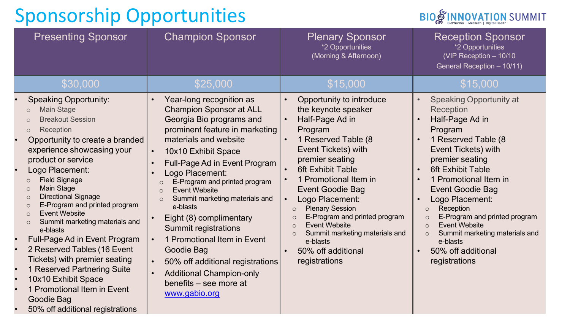

| <b>Presenting Sponsor</b>                                                                                                                                                                                                                                                                                                                                                                                                                                                                                                                                                                                                                                                                                                           | <b>Champion Sponsor</b>                                                                                                                                                                                                                                                                                                                                                                                                                                                                                                                                                                                                              | <b>Plenary Sponsor</b><br>*2 Opportunities<br>(Morning & Afternoon)                                                                                                                                                                                                                                                                                                                                                                                                                                                     | <b>Reception Sponsor</b><br>*2 Opportunities<br>(VIP Reception - 10/10<br>General Reception - 10/11)                                                                                                                                                                                                                                                                                                                                                 |
|-------------------------------------------------------------------------------------------------------------------------------------------------------------------------------------------------------------------------------------------------------------------------------------------------------------------------------------------------------------------------------------------------------------------------------------------------------------------------------------------------------------------------------------------------------------------------------------------------------------------------------------------------------------------------------------------------------------------------------------|--------------------------------------------------------------------------------------------------------------------------------------------------------------------------------------------------------------------------------------------------------------------------------------------------------------------------------------------------------------------------------------------------------------------------------------------------------------------------------------------------------------------------------------------------------------------------------------------------------------------------------------|-------------------------------------------------------------------------------------------------------------------------------------------------------------------------------------------------------------------------------------------------------------------------------------------------------------------------------------------------------------------------------------------------------------------------------------------------------------------------------------------------------------------------|------------------------------------------------------------------------------------------------------------------------------------------------------------------------------------------------------------------------------------------------------------------------------------------------------------------------------------------------------------------------------------------------------------------------------------------------------|
| \$30,000                                                                                                                                                                                                                                                                                                                                                                                                                                                                                                                                                                                                                                                                                                                            | \$25,000                                                                                                                                                                                                                                                                                                                                                                                                                                                                                                                                                                                                                             | \$15,000                                                                                                                                                                                                                                                                                                                                                                                                                                                                                                                | \$15,000                                                                                                                                                                                                                                                                                                                                                                                                                                             |
| <b>Speaking Opportunity:</b><br><b>Main Stage</b><br>$\circ$<br><b>Breakout Session</b><br>$\bigcirc$<br>Reception<br>$\circ$<br>Opportunity to create a branded<br>experience showcasing your<br>product or service<br>Logo Placement:<br><b>Field Signage</b><br>$\circ$<br><b>Main Stage</b><br>$\circ$<br><b>Directional Signage</b><br>$\circ$<br>E-Program and printed program<br>$\circ$<br><b>Event Website</b><br>$\circ$<br>Summit marketing materials and<br>$\circ$<br>e-blasts<br>Full-Page Ad in Event Program<br>2 Reserved Tables (16 Event<br>Tickets) with premier seating<br>1 Reserved Partnering Suite<br>10x10 Exhibit Space<br>1 Promotional Item in Event<br>Goodie Bag<br>50% off additional registrations | Year-long recognition as<br><b>Champion Sponsor at ALL</b><br>Georgia Bio programs and<br>prominent feature in marketing<br>materials and website<br>10x10 Exhibit Space<br>$\bullet$<br>Full-Page Ad in Event Program<br>Logo Placement:<br>E-Program and printed program<br>$\circ$<br><b>Event Website</b><br>$\circ$<br>Summit marketing materials and<br>$\circ$<br>e-blasts<br>Eight (8) complimentary<br><b>Summit registrations</b><br>1 Promotional Item in Event<br>$\bullet$<br>Goodie Bag<br>50% off additional registrations<br>$\bullet$<br><b>Additional Champion-only</b><br>benefits - see more at<br>www.gabio.org | Opportunity to introduce<br>$\bullet$<br>the keynote speaker<br>Half-Page Ad in<br>Program<br>1 Reserved Table (8<br><b>Event Tickets) with</b><br>premier seating<br><b>6ft Exhibit Table</b><br>1 Promotional Item in<br><b>Event Goodie Bag</b><br>Logo Placement:<br>$\bullet$<br><b>Plenary Session</b><br>$\circ$<br>E-Program and printed program<br>$\mathsf{C}$<br><b>Event Website</b><br>$\cap$<br>Summit marketing materials and<br>$\circ$<br>e-blasts<br>50% off additional<br>$\bullet$<br>registrations | <b>Speaking Opportunity at</b><br>Reception<br>Half-Page Ad in<br>Program<br>1 Reserved Table (8<br>Event Tickets) with<br>premier seating<br><b>6ft Exhibit Table</b><br>1 Promotional Item in<br><b>Event Goodie Bag</b><br>Logo Placement:<br>Reception<br>$\circ$<br>E-Program and printed program<br>$\circ$<br><b>Event Website</b><br>$\circ$<br>Summit marketing materials and<br>$\circ$<br>e-blasts<br>50% off additional<br>registrations |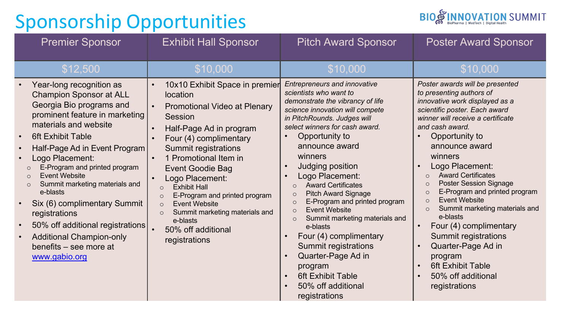

| <b>Premier Sponsor</b>                                                                                                                                                                                                                                                                                                                                                                                                                                                                                                                          | <b>Exhibit Hall Sponsor</b>                                                                                                                                                                                                                                                                                                                                                                                                                                                                     | <b>Pitch Award Sponsor</b>                                                                                                                                                                                                                                                                                                                                                                                                                                                                                                                                                                                                                                                                                                                   | <b>Poster Award Sponsor</b>                                                                                                                                                                                                                                                                                                                                                                                                                                                                                                                                                                                                                        |
|-------------------------------------------------------------------------------------------------------------------------------------------------------------------------------------------------------------------------------------------------------------------------------------------------------------------------------------------------------------------------------------------------------------------------------------------------------------------------------------------------------------------------------------------------|-------------------------------------------------------------------------------------------------------------------------------------------------------------------------------------------------------------------------------------------------------------------------------------------------------------------------------------------------------------------------------------------------------------------------------------------------------------------------------------------------|----------------------------------------------------------------------------------------------------------------------------------------------------------------------------------------------------------------------------------------------------------------------------------------------------------------------------------------------------------------------------------------------------------------------------------------------------------------------------------------------------------------------------------------------------------------------------------------------------------------------------------------------------------------------------------------------------------------------------------------------|----------------------------------------------------------------------------------------------------------------------------------------------------------------------------------------------------------------------------------------------------------------------------------------------------------------------------------------------------------------------------------------------------------------------------------------------------------------------------------------------------------------------------------------------------------------------------------------------------------------------------------------------------|
| \$12,500                                                                                                                                                                                                                                                                                                                                                                                                                                                                                                                                        | \$10,000                                                                                                                                                                                                                                                                                                                                                                                                                                                                                        | \$10,000                                                                                                                                                                                                                                                                                                                                                                                                                                                                                                                                                                                                                                                                                                                                     | \$10,000                                                                                                                                                                                                                                                                                                                                                                                                                                                                                                                                                                                                                                           |
| Year-long recognition as<br><b>Champion Sponsor at ALL</b><br>Georgia Bio programs and<br>prominent feature in marketing<br>materials and website<br><b>6ft Exhibit Table</b><br>Half-Page Ad in Event Program<br>Logo Placement:<br>E-Program and printed program<br>$\circ$<br><b>Event Website</b><br>$\bigcirc$<br>Summit marketing materials and<br>$\circ$<br>e-blasts<br>Six (6) complimentary Summit<br>registrations<br>50% off additional registrations<br><b>Additional Champion-only</b><br>benefits – see more at<br>www.gabio.org | 10x10 Exhibit Space in premier<br>$\bullet$<br>location<br><b>Promotional Video at Plenary</b><br><b>Session</b><br>Half-Page Ad in program<br>Four (4) complimentary<br><b>Summit registrations</b><br>1 Promotional Item in<br><b>Event Goodie Bag</b><br>Logo Placement:<br><b>Exhibit Hall</b><br>$\bigcirc$<br>E-Program and printed program<br>$\circ$<br><b>Event Website</b><br>$\circ$<br>Summit marketing materials and<br>$\circ$<br>e-blasts<br>50% off additional<br>registrations | <b>Entrepreneurs and innovative</b><br>scientists who want to<br>demonstrate the vibrancy of life<br>science innovation will compete<br>in PitchRounds. Judges will<br>select winners for cash award.<br>Opportunity to<br>announce award<br>winners<br><b>Judging position</b><br>$\bullet$<br>Logo Placement:<br><b>Award Certificates</b><br>$\circ$<br><b>Pitch Award Signage</b><br>$\circ$<br>E-Program and printed program<br>$\circ$<br><b>Event Website</b><br>$\circ$<br>Summit marketing materials and<br>$\circ$<br>e-blasts<br>Four (4) complimentary<br>$\bullet$<br><b>Summit registrations</b><br>Quarter-Page Ad in<br>program<br><b>6ft Exhibit Table</b><br>$\bullet$<br>50% off additional<br>$\bullet$<br>registrations | Poster awards will be presented<br>to presenting authors of<br>innovative work displayed as a<br>scientific poster. Each award<br>winner will receive a certificate<br>and cash award.<br>Opportunity to<br>announce award<br>winners<br>Logo Placement:<br><b>Award Certificates</b><br>$\circ$<br><b>Poster Session Signage</b><br>$\circ$<br>E-Program and printed program<br>$\circ$<br><b>Event Website</b><br>$\Omega$<br>Summit marketing materials and<br>$\circ$<br>e-blasts<br>Four (4) complimentary<br><b>Summit registrations</b><br>Quarter-Page Ad in<br>program<br><b>6ft Exhibit Table</b><br>50% off additional<br>registrations |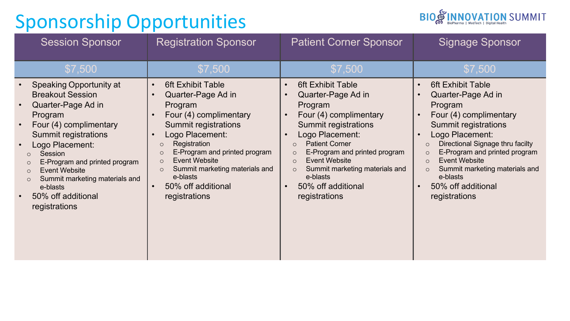

| <b>Session Sponsor</b>                                                                                                                                                                                                                                                                                                                                           | <b>Registration Sponsor</b>                                                                                                                                                                                                                                                                                                                                                                               | <b>Patient Corner Sponsor</b>                                                                                                                                                                                                                                                                                                                                                            | <b>Signage Sponsor</b>                                                                                                                                                                                                                                                                                                                                                                                                                |
|------------------------------------------------------------------------------------------------------------------------------------------------------------------------------------------------------------------------------------------------------------------------------------------------------------------------------------------------------------------|-----------------------------------------------------------------------------------------------------------------------------------------------------------------------------------------------------------------------------------------------------------------------------------------------------------------------------------------------------------------------------------------------------------|------------------------------------------------------------------------------------------------------------------------------------------------------------------------------------------------------------------------------------------------------------------------------------------------------------------------------------------------------------------------------------------|---------------------------------------------------------------------------------------------------------------------------------------------------------------------------------------------------------------------------------------------------------------------------------------------------------------------------------------------------------------------------------------------------------------------------------------|
| \$7,500                                                                                                                                                                                                                                                                                                                                                          | \$7,500                                                                                                                                                                                                                                                                                                                                                                                                   | \$7,500                                                                                                                                                                                                                                                                                                                                                                                  | \$7,500                                                                                                                                                                                                                                                                                                                                                                                                                               |
| <b>Speaking Opportunity at</b><br><b>Breakout Session</b><br>Quarter-Page Ad in<br>Program<br>Four (4) complimentary<br><b>Summit registrations</b><br>Logo Placement:<br>Session<br>E-Program and printed program<br>$\circ$<br><b>Event Website</b><br>$\circ$<br>Summit marketing materials and<br>$\circ$<br>e-blasts<br>50% off additional<br>registrations | <b>6ft Exhibit Table</b><br>$\bullet$<br>Quarter-Page Ad in<br>$\bullet$<br>Program<br>Four (4) complimentary<br>$\bullet$<br>Summit registrations<br>Logo Placement:<br>$\bullet$<br>Registration<br>$\circ$<br>E-Program and printed program<br>$\circ$<br><b>Event Website</b><br>$\circ$<br>Summit marketing materials and<br>$\circ$<br>e-blasts<br>50% off additional<br>$\bullet$<br>registrations | <b>6ft Exhibit Table</b><br>$\bullet$<br>Quarter-Page Ad in<br>Program<br>Four (4) complimentary<br>$\bullet$<br>Summit registrations<br>Logo Placement:<br><b>Patient Corner</b><br>$\circ$<br>E-Program and printed program<br>$\circ$<br><b>Event Website</b><br>$\circ$<br>Summit marketing materials and<br>$\circ$<br>e-blasts<br>50% off additional<br>$\bullet$<br>registrations | <b>6ft Exhibit Table</b><br>$\bullet$<br>Quarter-Page Ad in<br>$\bullet$<br>Program<br>Four (4) complimentary<br>$\bullet$<br><b>Summit registrations</b><br>Logo Placement:<br>$\bullet$<br>Directional Signage thru facilty<br>$\circ$<br>E-Program and printed program<br>$\circ$<br><b>Event Website</b><br>$\Omega$<br>Summit marketing materials and<br>$\circ$<br>e-blasts<br>50% off additional<br>$\bullet$<br>registrations |